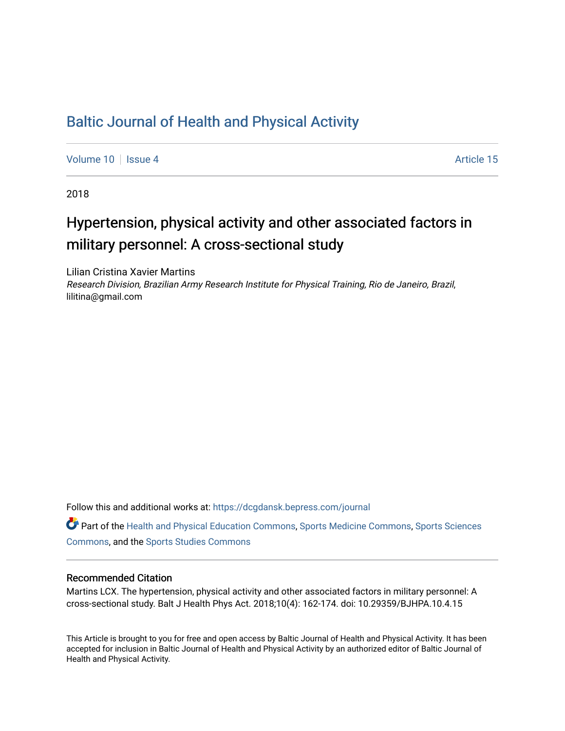## [Baltic Journal of Health and Physical Activity](https://dcgdansk.bepress.com/journal)

[Volume 10](https://dcgdansk.bepress.com/journal/vol10) | [Issue 4](https://dcgdansk.bepress.com/journal/vol10/iss4) Article 15

2018

## Hypertension, physical activity and other associated factors in military personnel: A cross-sectional study

Lilian Cristina Xavier Martins Research Division, Brazilian Army Research Institute for Physical Training, Rio de Janeiro, Brazil, lilitina@gmail.com

Follow this and additional works at: [https://dcgdansk.bepress.com/journal](https://dcgdansk.bepress.com/journal?utm_source=dcgdansk.bepress.com%2Fjournal%2Fvol10%2Fiss4%2F15&utm_medium=PDF&utm_campaign=PDFCoverPages)

Part of the [Health and Physical Education Commons](http://network.bepress.com/hgg/discipline/1327?utm_source=dcgdansk.bepress.com%2Fjournal%2Fvol10%2Fiss4%2F15&utm_medium=PDF&utm_campaign=PDFCoverPages), [Sports Medicine Commons,](http://network.bepress.com/hgg/discipline/1331?utm_source=dcgdansk.bepress.com%2Fjournal%2Fvol10%2Fiss4%2F15&utm_medium=PDF&utm_campaign=PDFCoverPages) [Sports Sciences](http://network.bepress.com/hgg/discipline/759?utm_source=dcgdansk.bepress.com%2Fjournal%2Fvol10%2Fiss4%2F15&utm_medium=PDF&utm_campaign=PDFCoverPages) [Commons](http://network.bepress.com/hgg/discipline/759?utm_source=dcgdansk.bepress.com%2Fjournal%2Fvol10%2Fiss4%2F15&utm_medium=PDF&utm_campaign=PDFCoverPages), and the [Sports Studies Commons](http://network.bepress.com/hgg/discipline/1198?utm_source=dcgdansk.bepress.com%2Fjournal%2Fvol10%2Fiss4%2F15&utm_medium=PDF&utm_campaign=PDFCoverPages) 

#### Recommended Citation

Martins LCX. The hypertension, physical activity and other associated factors in military personnel: A cross-sectional study. Balt J Health Phys Act. 2018;10(4): 162-174. doi: 10.29359/BJHPA.10.4.15

This Article is brought to you for free and open access by Baltic Journal of Health and Physical Activity. It has been accepted for inclusion in Baltic Journal of Health and Physical Activity by an authorized editor of Baltic Journal of Health and Physical Activity.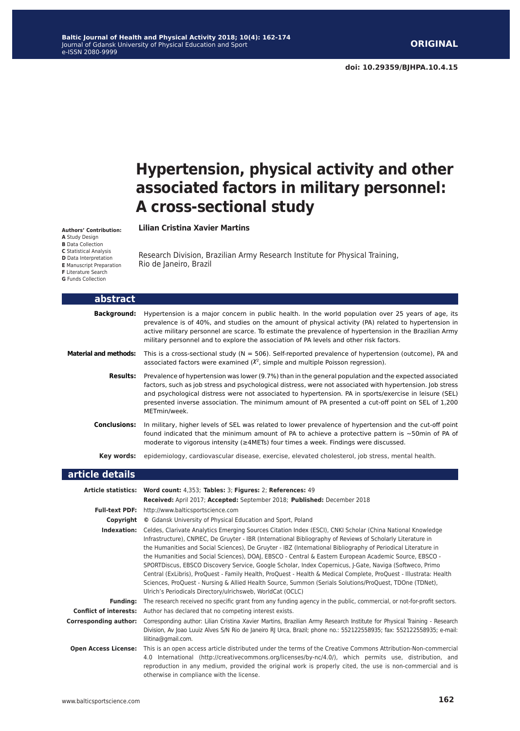# **Hypertension, physical activity and other associated factors in military personnel: A cross-sectional study**

#### **Lilian Cristina Xavier Martins**

**Authors' Contribution: A** Study Design **B** Data Collection **C** Statistical Analysis **D** Data Interpretation **E** Manuscript Preparation **F** Literature Search **G** Funds Collection

Research Division, Brazilian Army Research Institute for Physical Training, Rio de Janeiro, Brazil

| abstract                     |                                                                                                                                                                                                                                                                                                                                                                                                                                                    |
|------------------------------|----------------------------------------------------------------------------------------------------------------------------------------------------------------------------------------------------------------------------------------------------------------------------------------------------------------------------------------------------------------------------------------------------------------------------------------------------|
| <b>Background:</b>           | Hypertension is a major concern in public health. In the world population over 25 years of age, its<br>prevalence is of 40%, and studies on the amount of physical activity (PA) related to hypertension in<br>active military personnel are scarce. To estimate the prevalence of hypertension in the Brazilian Army<br>military personnel and to explore the association of PA levels and other risk factors.                                    |
| <b>Material and methods:</b> | This is a cross-sectional study ( $N = 506$ ). Self-reported prevalence of hypertension (outcome), PA and<br>associated factors were examined $(X^2)$ , simple and multiple Poisson regression).                                                                                                                                                                                                                                                   |
| <b>Results:</b>              | Prevalence of hypertension was lower (9.7%) than in the general population and the expected associated<br>factors, such as job stress and psychological distress, were not associated with hypertension. Job stress<br>and psychological distress were not associated to hypertension. PA in sports/exercise in leisure (SEL)<br>presented inverse association. The minimum amount of PA presented a cut-off point on SEL of 1,200<br>METmin/week. |
| <b>Conclusions:</b>          | In military, higher levels of SEL was related to lower prevalence of hypertension and the cut-off point<br>found indicated that the minimum amount of PA to achieve a protective pattern is ~50min of PA of<br>moderate to vigorous intensity ( $\geq$ 4METs) four times a week. Findings were discussed.                                                                                                                                          |
| Kev words:                   | epidemiology, cardiovascular disease, exercise, elevated cholesterol, job stress, mental health.                                                                                                                                                                                                                                                                                                                                                   |
| article details              |                                                                                                                                                                                                                                                                                                                                                                                                                                                    |
|                              | Article statistics: Word count: 4,353; Tables: 3; Figures: 2; References: 49<br>Received: April 2017; Accepted: September 2018; Published: December 2018                                                                                                                                                                                                                                                                                           |

|                               | <b>NCCCIVCUI</b> AVIII 2017, ACCCPICUI JONICIINOI 2010, I <b>UNIIJIICUI</b> DOCCIINOI 2010                                                                                                                                                                                                                                                                                                                                                                                                                                                                                                                                                                                                                                                                                                                                                                    |
|-------------------------------|---------------------------------------------------------------------------------------------------------------------------------------------------------------------------------------------------------------------------------------------------------------------------------------------------------------------------------------------------------------------------------------------------------------------------------------------------------------------------------------------------------------------------------------------------------------------------------------------------------------------------------------------------------------------------------------------------------------------------------------------------------------------------------------------------------------------------------------------------------------|
| <b>Full-text PDF:</b>         | http://www.balticsportscience.com                                                                                                                                                                                                                                                                                                                                                                                                                                                                                                                                                                                                                                                                                                                                                                                                                             |
| Copyright                     | © Gdansk University of Physical Education and Sport, Poland                                                                                                                                                                                                                                                                                                                                                                                                                                                                                                                                                                                                                                                                                                                                                                                                   |
| Indexation:                   | Celdes, Clarivate Analytics Emerging Sources Citation Index (ESCI), CNKI Scholar (China National Knowledge<br>Infrastructure), CNPIEC, De Gruyter - IBR (International Bibliography of Reviews of Scholarly Literature in<br>the Humanities and Social Sciences), De Gruyter - IBZ (International Bibliography of Periodical Literature in<br>the Humanities and Social Sciences), DOAJ, EBSCO - Central & Eastern European Academic Source, EBSCO -<br>SPORTDiscus, EBSCO Discovery Service, Google Scholar, Index Copernicus, J-Gate, Naviga (Softweco, Primo<br>Central (ExLibris), ProQuest - Family Health, ProQuest - Health & Medical Complete, ProQuest - Illustrata: Health<br>Sciences, ProQuest - Nursing & Allied Health Source, Summon (Serials Solutions/ProQuest, TDOne (TDNet),<br>Ulrich's Periodicals Directory/ulrichsweb, WorldCat (OCLC) |
| <b>Funding:</b>               | The research received no specific grant from any funding agency in the public, commercial, or not-for-profit sectors.                                                                                                                                                                                                                                                                                                                                                                                                                                                                                                                                                                                                                                                                                                                                         |
| <b>Conflict of interests:</b> | Author has declared that no competing interest exists.                                                                                                                                                                                                                                                                                                                                                                                                                                                                                                                                                                                                                                                                                                                                                                                                        |
| <b>Corresponding author:</b>  | Corresponding author: Lilian Cristina Xavier Martins, Brazilian Army Research Institute for Physical Training - Research<br>Division, Av Joao Luuiz Alves S/N Rio de Janeiro RJ Urca, Brazil; phone no.: 552122558935; fax: 552122558935; e-mail:<br>lilitina@gmail.com.                                                                                                                                                                                                                                                                                                                                                                                                                                                                                                                                                                                      |
| <b>Open Access License:</b>   | This is an open access article distributed under the terms of the Creative Commons Attribution-Non-commercial<br>4.0 International (http://creativecommons.org/licenses/by-nc/4.0/), which permits use, distribution, and<br>reproduction in any medium, provided the original work is properly cited, the use is non-commercial and is<br>otherwise in compliance with the license.                                                                                                                                                                                                                                                                                                                                                                                                                                                                          |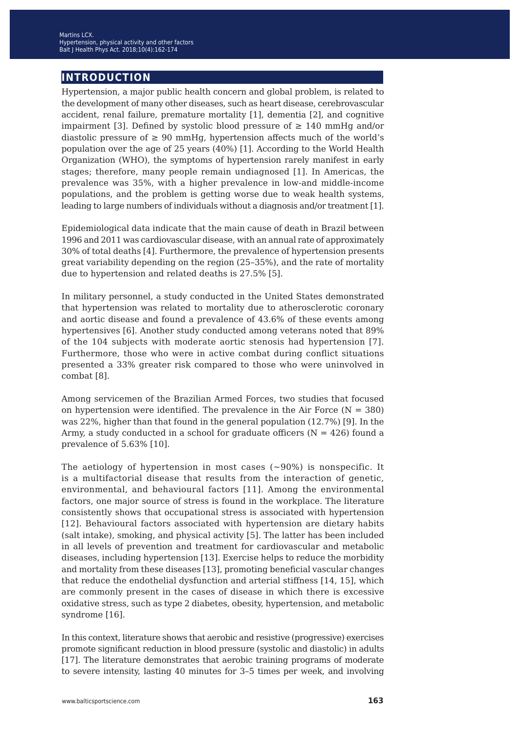### **introduction**

Hypertension, a major public health concern and global problem, is related to the development of many other diseases, such as heart disease, cerebrovascular accident, renal failure, premature mortality [1], dementia [2], and cognitive impairment [3]. Defined by systolic blood pressure of  $\geq 140$  mmHq and/or diastolic pressure of  $\geq 90$  mmHg, hypertension affects much of the world's population over the age of 25 years (40%) [1]. According to the World Health Organization (WHO), the symptoms of hypertension rarely manifest in early stages; therefore, many people remain undiagnosed [1]. In Americas, the prevalence was 35%, with a higher prevalence in low-and middle-income populations, and the problem is getting worse due to weak health systems, leading to large numbers of individuals without a diagnosis and/or treatment [1].

Epidemiological data indicate that the main cause of death in Brazil between 1996 and 2011 was cardiovascular disease, with an annual rate of approximately 30% of total deaths [4]. Furthermore, the prevalence of hypertension presents great variability depending on the region (25–35%), and the rate of mortality due to hypertension and related deaths is 27.5% [5].

In military personnel, a study conducted in the United States demonstrated that hypertension was related to mortality due to atherosclerotic coronary and aortic disease and found a prevalence of 43.6% of these events among hypertensives [6]. Another study conducted among veterans noted that 89% of the 104 subjects with moderate aortic stenosis had hypertension [7]. Furthermore, those who were in active combat during conflict situations presented a 33% greater risk compared to those who were uninvolved in combat [8].

Among servicemen of the Brazilian Armed Forces, two studies that focused on hypertension were identified. The prevalence in the Air Force  $(N = 380)$ was 22%, higher than that found in the general population (12.7%) [9]. In the Army, a study conducted in a school for graduate officers  $(N = 426)$  found a prevalence of 5.63% [10].

The aetiology of hypertension in most cases  $(-90%)$  is nonspecific. It is a multifactorial disease that results from the interaction of genetic, environmental, and behavioural factors [11]. Among the environmental factors, one major source of stress is found in the workplace. The literature consistently shows that occupational stress is associated with hypertension [12]. Behavioural factors associated with hypertension are dietary habits (salt intake), smoking, and physical activity [5]. The latter has been included in all levels of prevention and treatment for cardiovascular and metabolic diseases, including hypertension [13]. Exercise helps to reduce the morbidity and mortality from these diseases [13], promoting beneficial vascular changes that reduce the endothelial dysfunction and arterial stiffness [14, 15], which are commonly present in the cases of disease in which there is excessive oxidative stress, such as type 2 diabetes, obesity, hypertension, and metabolic syndrome [16].

In this context, literature shows that aerobic and resistive (progressive) exercises promote significant reduction in blood pressure (systolic and diastolic) in adults [17]. The literature demonstrates that aerobic training programs of moderate to severe intensity, lasting 40 minutes for 3–5 times per week, and involving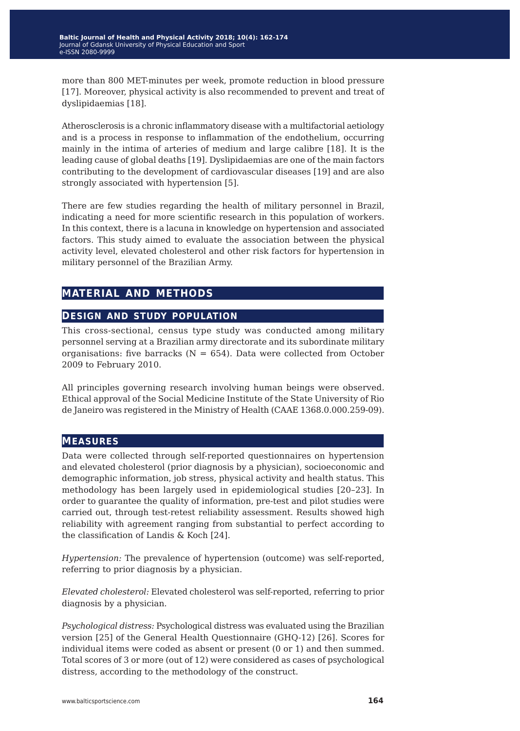more than 800 MET-minutes per week, promote reduction in blood pressure [17]. Moreover, physical activity is also recommended to prevent and treat of dyslipidaemias [18].

Atherosclerosis is a chronic inflammatory disease with a multifactorial aetiology and is a process in response to inflammation of the endothelium, occurring mainly in the intima of arteries of medium and large calibre [18]. It is the leading cause of global deaths [19]. Dyslipidaemias are one of the main factors contributing to the development of cardiovascular diseases [19] and are also strongly associated with hypertension [5].

There are few studies regarding the health of military personnel in Brazil, indicating a need for more scientific research in this population of workers. In this context, there is a lacuna in knowledge on hypertension and associated factors. This study aimed to evaluate the association between the physical activity level, elevated cholesterol and other risk factors for hypertension in military personnel of the Brazilian Army.

#### **material and methods**

#### **design and study population**

This cross-sectional, census type study was conducted among military personnel serving at a Brazilian army directorate and its subordinate military organisations: five barracks ( $N = 654$ ). Data were collected from October 2009 to February 2010.

All principles governing research involving human beings were observed. Ethical approval of the Social Medicine Institute of the State University of Rio de Janeiro was registered in the Ministry of Health (CAAE 1368.0.000.259-09).

#### **measures**

Data were collected through self-reported questionnaires on hypertension and elevated cholesterol (prior diagnosis by a physician), socioeconomic and demographic information, job stress, physical activity and health status. This methodology has been largely used in epidemiological studies [20–23]. In order to guarantee the quality of information, pre-test and pilot studies were carried out, through test-retest reliability assessment. Results showed high reliability with agreement ranging from substantial to perfect according to the classification of Landis & Koch [24].

*Hypertension:* The prevalence of hypertension (outcome) was self-reported, referring to prior diagnosis by a physician.

*Elevated cholesterol:* Elevated cholesterol was self-reported, referring to prior diagnosis by a physician.

*Psychological distress:* Psychological distress was evaluated using the Brazilian version [25] of the General Health Questionnaire (GHQ-12) [26]. Scores for individual items were coded as absent or present (0 or 1) and then summed. Total scores of 3 or more (out of 12) were considered as cases of psychological distress, according to the methodology of the construct.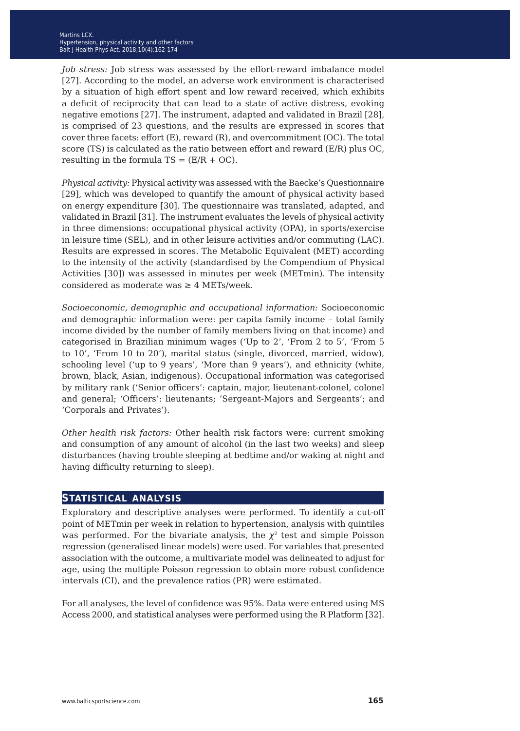*Job stress:* Job stress was assessed by the effort-reward imbalance model [27]. According to the model, an adverse work environment is characterised by a situation of high effort spent and low reward received, which exhibits a deficit of reciprocity that can lead to a state of active distress, evoking negative emotions [27]. The instrument, adapted and validated in Brazil [28], is comprised of 23 questions, and the results are expressed in scores that cover three facets: effort (E), reward (R), and overcommitment (OC). The total score (TS) is calculated as the ratio between effort and reward (E/R) plus OC, resulting in the formula  $TS = (E/R + OC)$ .

*Physical activity:* Physical activity was assessed with the Baecke's Questionnaire [29], which was developed to quantify the amount of physical activity based on energy expenditure [30]. The questionnaire was translated, adapted, and validated in Brazil [31]. The instrument evaluates the levels of physical activity in three dimensions: occupational physical activity (OPA), in sports/exercise in leisure time (SEL), and in other leisure activities and/or commuting (LAC). Results are expressed in scores. The Metabolic Equivalent (MET) according to the intensity of the activity (standardised by the Compendium of Physical Activities [30]) was assessed in minutes per week (METmin). The intensity considered as moderate was  $\geq 4$  METs/week.

*Socioeconomic, demographic and occupational information:* Socioeconomic and demographic information were: per capita family income – total family income divided by the number of family members living on that income) and categorised in Brazilian minimum wages ('Up to 2', 'From 2 to 5', 'From 5 to 10', 'From 10 to 20'), marital status (single, divorced, married, widow), schooling level ('up to 9 years', 'More than 9 years'), and ethnicity (white, brown, black, Asian, indigenous). Occupational information was categorised by military rank ('Senior officers': captain, major, lieutenant-colonel, colonel and general; 'Officers': lieutenants; 'Sergeant-Majors and Sergeants'; and 'Corporals and Privates').

*Other health risk factors:* Other health risk factors were: current smoking and consumption of any amount of alcohol (in the last two weeks) and sleep disturbances (having trouble sleeping at bedtime and/or waking at night and having difficulty returning to sleep).

#### **statistical analysis**

Exploratory and descriptive analyses were performed. To identify a cut-off point of METmin per week in relation to hypertension, analysis with quintiles was performed. For the bivariate analysis, the  $\chi^2$  test and simple Poisson regression (generalised linear models) were used. For variables that presented association with the outcome, a multivariate model was delineated to adjust for age, using the multiple Poisson regression to obtain more robust confidence intervals (CI), and the prevalence ratios (PR) were estimated.

For all analyses, the level of confidence was 95%. Data were entered using MS Access 2000, and statistical analyses were performed using the R Platform [32].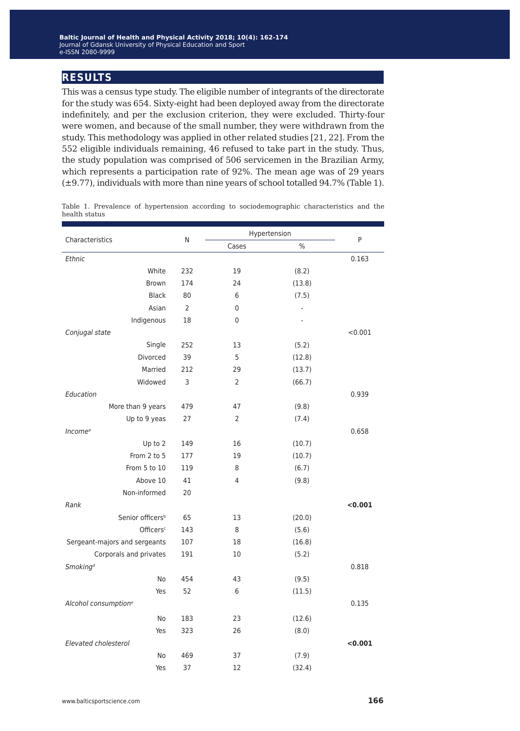## **results**

This was a census type study. The eligible number of integrants of the directorate for the study was 654. Sixty-eight had been deployed away from the directorate indefinitely, and per the exclusion criterion, they were excluded. Thirty-four were women, and because of the small number, they were withdrawn from the study. This methodology was applied in other related studies [21, 22]. From the 552 eligible individuals remaining, 46 refused to take part in the study. Thus, the study population was comprised of 506 servicemen in the Brazilian Army, which represents a participation rate of 92%. The mean age was of 29 years (±9.77), individuals with more than nine years of school totalled 94.7% (Table 1).

Table 1. Prevalence of hypertension according to sociodemographic characteristics and the health status

|                                  | N   | Hypertension   |        |         |
|----------------------------------|-----|----------------|--------|---------|
| Characteristics                  |     | Cases          | $\%$   | P       |
| <b>Ethnic</b>                    |     |                |        | 0.163   |
| White                            | 232 | 19             | (8.2)  |         |
| Brown                            | 174 | 24             | (13.8) |         |
| <b>Black</b>                     | 80  | 6              | (7.5)  |         |
| Asian                            | 2   | $\mathbf 0$    |        |         |
| Indigenous                       | 18  | 0              |        |         |
| Conjugal state                   |     |                |        | < 0.001 |
| Single                           | 252 | 13             | (5.2)  |         |
| <b>Divorced</b>                  | 39  | 5              | (12.8) |         |
| Married                          | 212 | 29             | (13.7) |         |
| Widowed                          | 3   | $\overline{2}$ | (66.7) |         |
| Education                        |     |                |        | 0.939   |
| More than 9 years                | 479 | 47             | (9.8)  |         |
| Up to 9 yeas                     | 27  | 2              | (7.4)  |         |
| Income <sup>a</sup>              |     |                |        | 0.658   |
| Up to 2                          | 149 | 16             | (10.7) |         |
| From 2 to 5                      | 177 | 19             | (10.7) |         |
| From 5 to 10                     | 119 | 8              | (6.7)  |         |
| Above 10                         | 41  | 4              | (9.8)  |         |
| Non-informed                     | 20  |                |        |         |
| Rank                             |     |                |        | < 0.001 |
| Senior officers <sup>b</sup>     | 65  | 13             | (20.0) |         |
| Officers <sup>c</sup>            | 143 | 8              | (5.6)  |         |
| Sergeant-majors and sergeants    | 107 | 18             | (16.8) |         |
| Corporals and privates           | 191 | 10             | (5.2)  |         |
| Smoking <sup>d</sup>             |     |                |        | 0.818   |
| No                               | 454 | 43             | (9.5)  |         |
| Yes                              | 52  | 6              | (11.5) |         |
| Alcohol consumption <sup>e</sup> |     |                |        | 0.135   |
| No                               | 183 | 23             | (12.6) |         |
| Yes                              | 323 | 26             | (8.0)  |         |
| <b>Elevated cholesterol</b>      |     |                |        | < 0.001 |
| No                               | 469 | 37             | (7.9)  |         |
| Yes                              | 37  | 12             | (32.4) |         |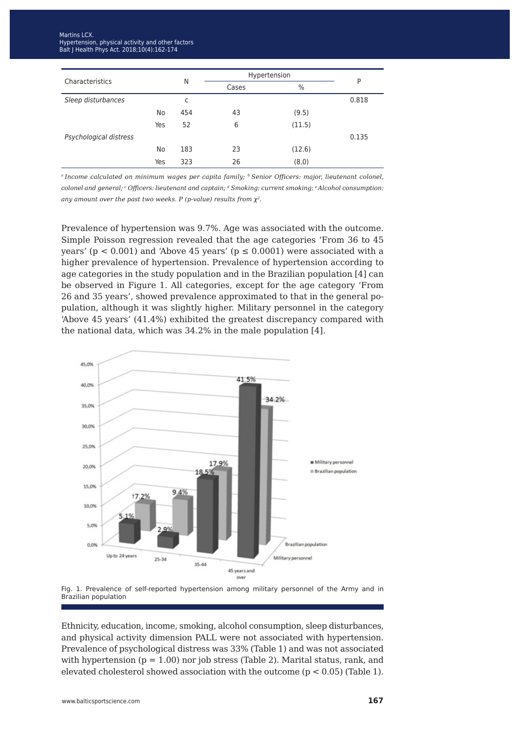| Characteristics        |     | Ν   | Hypertension | P      |       |
|------------------------|-----|-----|--------------|--------|-------|
|                        |     |     | Cases        | $\%$   |       |
| Sleep disturbances     |     | C   |              |        | 0.818 |
|                        | No  | 454 | 43           | (9.5)  |       |
|                        | Yes | 52  | 6            | (11.5) |       |
| Psychological distress |     |     |              |        | 0.135 |
|                        | No  | 183 | 23           | (12.6) |       |
|                        | Yes | 323 | 26           | (8.0)  |       |

*a Income calculated on minimum wages per capita family; b Senior Officers: major, lieutenant colonel, colonel and general; c Officers: lieutenant and captain; d Smoking: current smoking; e Alcohol consumption: any amount over the past two weeks. P (p-value) results from* χ*2.*

Prevalence of hypertension was 9.7%. Age was associated with the outcome. Simple Poisson regression revealed that the age categories 'From 36 to 45 years' ( $p < 0.001$ ) and 'Above 45 years' ( $p \le 0.0001$ ) were associated with a higher prevalence of hypertension. Prevalence of hypertension according to age categories in the study population and in the Brazilian population [4] can be observed in Figure 1. All categories, except for the age category 'From 26 and 35 years', showed prevalence approximated to that in the general population, although it was slightly higher. Military personnel in the category 'Above 45 years' (41.4%) exhibited the greatest discrepancy compared with the national data, which was 34.2% in the male population [4].





Ethnicity, education, income, smoking, alcohol consumption, sleep disturbances, and physical activity dimension PALL were not associated with hypertension. Prevalence of psychological distress was 33% (Table 1) and was not associated with hypertension ( $p = 1.00$ ) nor job stress (Table 2). Marital status, rank, and elevated cholesterol showed association with the outcome  $(p < 0.05)$  (Table 1).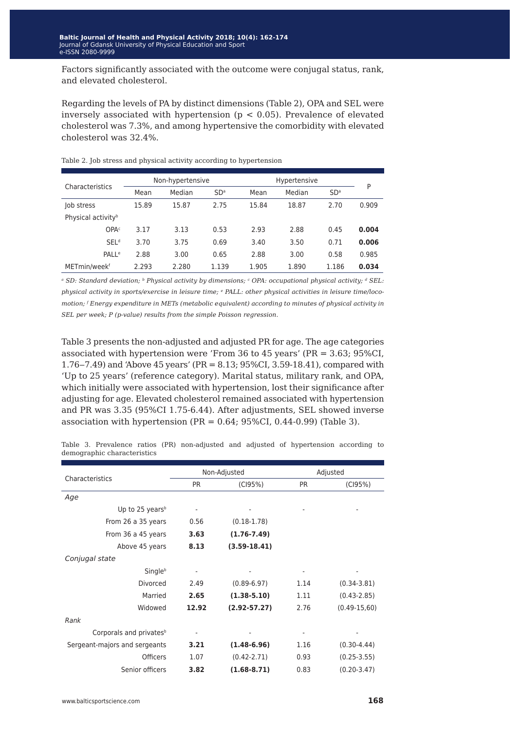Factors significantly associated with the outcome were conjugal status, rank, and elevated cholesterol.

Regarding the levels of PA by distinct dimensions (Table 2), OPA and SEL were inversely associated with hypertension (p < 0.05). Prevalence of elevated cholesterol was 7.3%, and among hypertensive the comorbidity with elevated cholesterol was 32.4%.

| Characteristics                |       | Non-hypertensive |                 |       | Hypertensive |                 | P     |
|--------------------------------|-------|------------------|-----------------|-------|--------------|-----------------|-------|
|                                | Mean  | Median           | SD <sup>a</sup> | Mean  | Median       | SD <sup>a</sup> |       |
| Job stress                     | 15.89 | 15.87            | 2.75            | 15.84 | 18.87        | 2.70            | 0.909 |
| Physical activity <sup>b</sup> |       |                  |                 |       |              |                 |       |
| OPA <sup>c</sup>               | 3.17  | 3.13             | 0.53            | 2.93  | 2.88         | 0.45            | 0.004 |
| <b>SELd</b>                    | 3.70  | 3.75             | 0.69            | 3.40  | 3.50         | 0.71            | 0.006 |
| PALL <sup>e</sup>              | 2.88  | 3.00             | 0.65            | 2.88  | 3.00         | 0.58            | 0.985 |
| METmin/weekf                   | 2.293 | 2.280            | 1.139           | 1.905 | 1.890        | 1.186           | 0.034 |

Table 2. Job stress and physical activity according to hypertension

*a SD: Standard deviation; b Physical activity by dimensions; c OPA: occupational physical activity; d SEL: physical activity in sports/exercise in leisure time; e PALL: other physical activities in leisure time/locomotion; f Energy expenditure in METs (metabolic equivalent) according to minutes of physical activity in SEL per week; P (p-value) results from the simple Poisson regression.*

Table 3 presents the non-adjusted and adjusted PR for age. The age categories associated with hypertension were 'From 36 to 45 years' (PR = 3.63; 95%CI, 1.76‒7.49) and 'Above 45 years' (PR = 8.13; 95%CI, 3.59-18.41), compared with 'Up to 25 years' (reference category). Marital status, military rank, and OPA, which initially were associated with hypertension, lost their significance after adjusting for age. Elevated cholesterol remained associated with hypertension and PR was 3.35 (95%CI 1.75-6.44). After adjustments, SEL showed inverse association with hypertension (PR =  $0.64$ ; 95%CI, 0.44-0.99) (Table 3).

Table 3. Prevalence ratios (PR) non-adjusted and adjusted of hypertension according to demographic characteristics

| Characteristics                     | Non-Adjusted |                  | Adjusted  |                              |
|-------------------------------------|--------------|------------------|-----------|------------------------------|
|                                     | <b>PR</b>    | (C195%)          | <b>PR</b> | (C195%)                      |
| Age                                 |              |                  |           |                              |
| Up to 25 years <sup>b</sup>         |              |                  |           |                              |
| From 26 a 35 years                  | 0.56         | $(0.18 - 1.78)$  |           |                              |
| From 36 a 45 years                  | 3.63         | $(1.76 - 7.49)$  |           |                              |
| Above 45 years                      | 8.13         | $(3.59 - 18.41)$ |           |                              |
| Conjugal state                      |              |                  |           |                              |
| <b>Single</b> <sup>b</sup>          |              |                  |           | $\qquad \qquad \blacksquare$ |
| <b>Divorced</b>                     | 2.49         | $(0.89 - 6.97)$  | 1.14      | $(0.34 - 3.81)$              |
| Married                             | 2.65         | $(1.38 - 5.10)$  | 1.11      | $(0.43 - 2.85)$              |
| Widowed                             | 12.92        | $(2.92 - 57.27)$ | 2.76      | $(0.49 - 15, 60)$            |
| Rank                                |              |                  |           |                              |
| Corporals and privates <sup>b</sup> |              |                  | ٠         |                              |
| Sergeant-majors and sergeants       | 3.21         | $(1.48 - 6.96)$  | 1.16      | $(0.30 - 4.44)$              |
| <b>Officers</b>                     | 1.07         | $(0.42 - 2.71)$  | 0.93      | $(0.25 - 3.55)$              |
| Senior officers                     | 3.82         | $(1.68 - 8.71)$  | 0.83      | $(0.20 - 3.47)$              |
|                                     |              |                  |           |                              |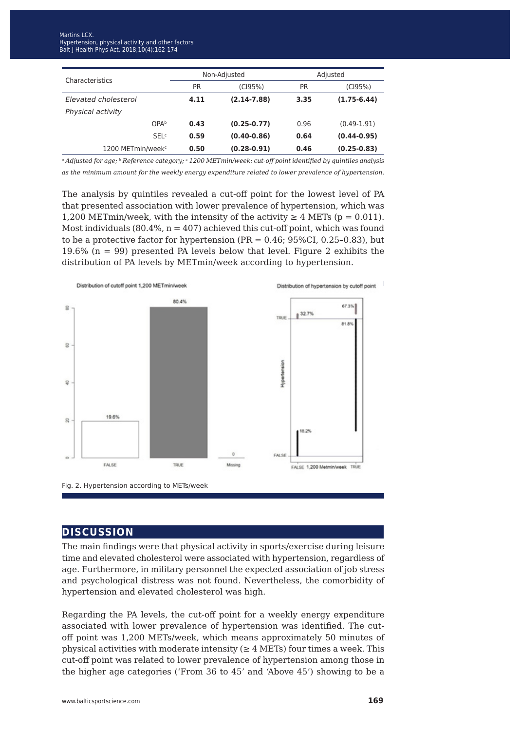| Characteristics               | Non-Adjusted |                 | Adjusted  |                 |
|-------------------------------|--------------|-----------------|-----------|-----------------|
|                               | <b>PR</b>    | (C195%)         | <b>PR</b> | (C195%)         |
| Elevated cholesterol          | 4.11         | $(2.14 - 7.88)$ | 3.35      | $(1.75-6.44)$   |
| Physical activity             |              |                 |           |                 |
| OPA <sup>b</sup>              | 0.43         | $(0.25 - 0.77)$ | 0.96      | $(0.49 - 1.91)$ |
| <b>SEL<sup>c</sup></b>        | 0.59         | $(0.40 - 0.86)$ | 0.64      | $(0.44 - 0.95)$ |
| 1200 METmin/week <sup>c</sup> | 0.50         | $(0.28 - 0.91)$ | 0.46      | $(0.25 - 0.83)$ |

*<sup>a</sup> Adjusted for age; b Reference category; c 1200 METmin/week: cut-off point identified by quintiles analysis as the minimum amount for the weekly energy expenditure related to lower prevalence of hypertension.*

The analysis by quintiles revealed a cut-off point for the lowest level of PA that presented association with lower prevalence of hypertension, which was 1,200 METmin/week, with the intensity of the activity  $\geq 4$  METs (p = 0.011). Most individuals  $(80.4\%, n = 407)$  achieved this cut-off point, which was found to be a protective factor for hypertension (PR =  $0.46$ ; 95%CI, 0.25-0.83), but 19.6% (n = 99) presented PA levels below that level. Figure 2 exhibits the distribution of PA levels by METmin/week according to hypertension.



### **discussion**

The main findings were that physical activity in sports/exercise during leisure time and elevated cholesterol were associated with hypertension, regardless of age. Furthermore, in military personnel the expected association of job stress and psychological distress was not found. Nevertheless, the comorbidity of hypertension and elevated cholesterol was high.

Regarding the PA levels, the cut-off point for a weekly energy expenditure associated with lower prevalence of hypertension was identified. The cutoff point was 1,200 METs/week, which means approximately 50 minutes of physical activities with moderate intensity ( $\geq 4$  METs) four times a week. This cut-off point was related to lower prevalence of hypertension among those in the higher age categories ('From 36 to 45' and 'Above 45') showing to be a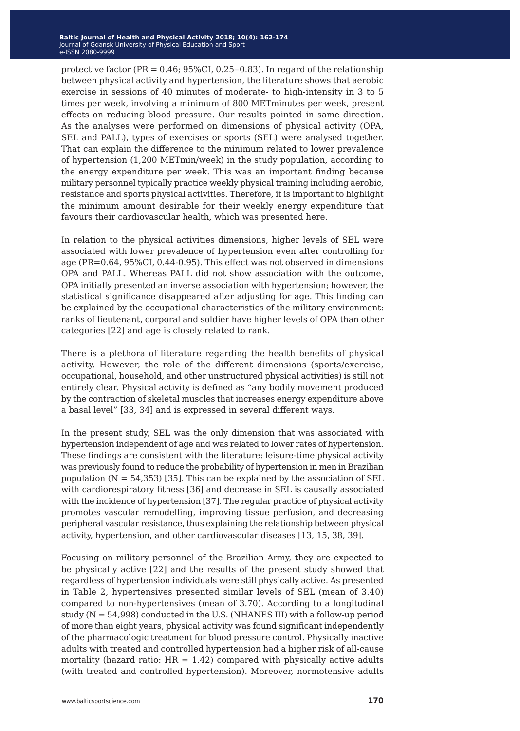protective factor (PR =  $0.46$ ; 95%CI, 0.25–0.83). In regard of the relationship between physical activity and hypertension, the literature shows that aerobic exercise in sessions of 40 minutes of moderate- to high-intensity in 3 to 5 times per week, involving a minimum of 800 METminutes per week, present effects on reducing blood pressure. Our results pointed in same direction. As the analyses were performed on dimensions of physical activity (OPA, SEL and PALL), types of exercises or sports (SEL) were analysed together. That can explain the difference to the minimum related to lower prevalence of hypertension (1,200 METmin/week) in the study population, according to the energy expenditure per week. This was an important finding because military personnel typically practice weekly physical training including aerobic, resistance and sports physical activities. Therefore, it is important to highlight the minimum amount desirable for their weekly energy expenditure that favours their cardiovascular health, which was presented here.

In relation to the physical activities dimensions, higher levels of SEL were associated with lower prevalence of hypertension even after controlling for age (PR=0.64, 95%CI, 0.44-0.95). This effect was not observed in dimensions OPA and PALL. Whereas PALL did not show association with the outcome, OPA initially presented an inverse association with hypertension; however, the statistical significance disappeared after adjusting for age. This finding can be explained by the occupational characteristics of the military environment: ranks of lieutenant, corporal and soldier have higher levels of OPA than other categories [22] and age is closely related to rank.

There is a plethora of literature regarding the health benefits of physical activity. However, the role of the different dimensions (sports/exercise, occupational, household, and other unstructured physical activities) is still not entirely clear. Physical activity is defined as "any bodily movement produced by the contraction of skeletal muscles that increases energy expenditure above a basal level" [33, 34] and is expressed in several different ways.

In the present study, SEL was the only dimension that was associated with hypertension independent of age and was related to lower rates of hypertension. These findings are consistent with the literature: leisure-time physical activity was previously found to reduce the probability of hypertension in men in Brazilian population  $(N = 54,353)$  [35]. This can be explained by the association of SEL with cardiorespiratory fitness [36] and decrease in SEL is causally associated with the incidence of hypertension [37]. The regular practice of physical activity promotes vascular remodelling, improving tissue perfusion, and decreasing peripheral vascular resistance, thus explaining the relationship between physical activity, hypertension, and other cardiovascular diseases [13, 15, 38, 39].

Focusing on military personnel of the Brazilian Army, they are expected to be physically active [22] and the results of the present study showed that regardless of hypertension individuals were still physically active. As presented in Table 2, hypertensives presented similar levels of SEL (mean of 3.40) compared to non-hypertensives (mean of 3.70). According to a longitudinal study ( $N = 54,998$ ) conducted in the U.S. (NHANES III) with a follow-up period of more than eight years, physical activity was found significant independently of the pharmacologic treatment for blood pressure control. Physically inactive adults with treated and controlled hypertension had a higher risk of all-cause mortality (hazard ratio:  $HR = 1.42$ ) compared with physically active adults (with treated and controlled hypertension). Moreover, normotensive adults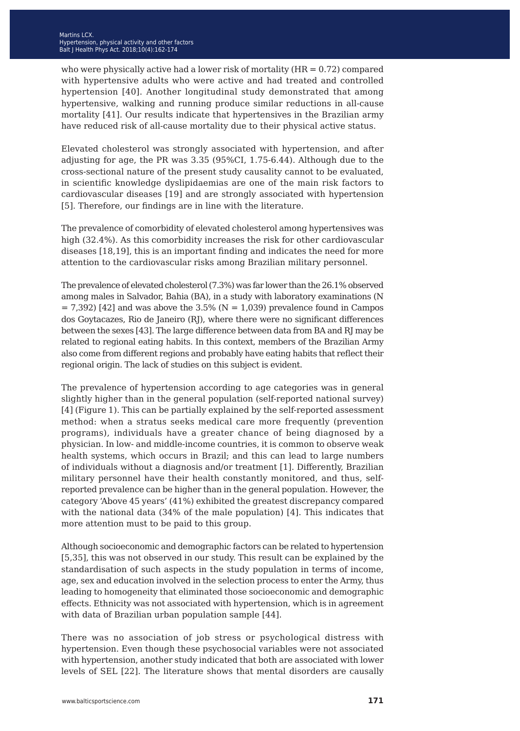who were physically active had a lower risk of mortality  $(HR = 0.72)$  compared with hypertensive adults who were active and had treated and controlled hypertension [40]. Another longitudinal study demonstrated that among hypertensive, walking and running produce similar reductions in all-cause mortality [41]. Our results indicate that hypertensives in the Brazilian army have reduced risk of all-cause mortality due to their physical active status.

Elevated cholesterol was strongly associated with hypertension, and after adjusting for age, the PR was 3.35 (95%CI, 1.75-6.44). Although due to the cross-sectional nature of the present study causality cannot to be evaluated, in scientific knowledge dyslipidaemias are one of the main risk factors to cardiovascular diseases [19] and are strongly associated with hypertension [5]. Therefore, our findings are in line with the literature.

The prevalence of comorbidity of elevated cholesterol among hypertensives was high (32.4%). As this comorbidity increases the risk for other cardiovascular diseases [18,19], this is an important finding and indicates the need for more attention to the cardiovascular risks among Brazilian military personnel.

The prevalence of elevated cholesterol (7.3%) was far lower than the 26.1% observed among males in Salvador, Bahia (BA), in a study with laboratory examinations (N  $= 7,392$ ) [42] and was above the 3.5% (N = 1,039) prevalence found in Campos dos Goytacazes, Rio de Janeiro (RJ), where there were no significant differences between the sexes [43]. The large difference between data from BA and RJ may be related to regional eating habits. In this context, members of the Brazilian Army also come from different regions and probably have eating habits that reflect their regional origin. The lack of studies on this subject is evident.

The prevalence of hypertension according to age categories was in general slightly higher than in the general population (self-reported national survey) [4] (Figure 1). This can be partially explained by the self-reported assessment method: when a stratus seeks medical care more frequently (prevention programs), individuals have a greater chance of being diagnosed by a physician. In low- and middle-income countries, it is common to observe weak health systems, which occurs in Brazil; and this can lead to large numbers of individuals without a diagnosis and/or treatment [1]. Differently, Brazilian military personnel have their health constantly monitored, and thus, selfreported prevalence can be higher than in the general population. However, the category 'Above 45 years' (41%) exhibited the greatest discrepancy compared with the national data (34% of the male population) [4]. This indicates that more attention must to be paid to this group.

Although socioeconomic and demographic factors can be related to hypertension [5,35], this was not observed in our study. This result can be explained by the standardisation of such aspects in the study population in terms of income, age, sex and education involved in the selection process to enter the Army, thus leading to homogeneity that eliminated those socioeconomic and demographic effects. Ethnicity was not associated with hypertension, which is in agreement with data of Brazilian urban population sample [44].

There was no association of job stress or psychological distress with hypertension. Even though these psychosocial variables were not associated with hypertension, another study indicated that both are associated with lower levels of SEL [22]. The literature shows that mental disorders are causally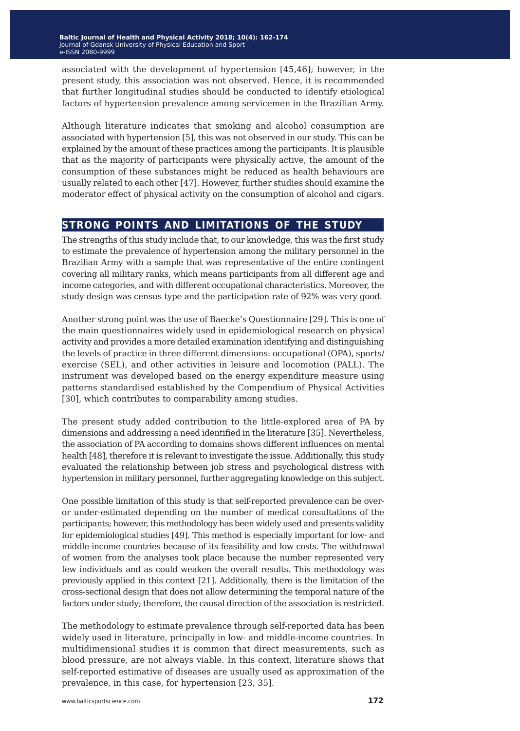associated with the development of hypertension [45,46]; however, in the present study, this association was not observed. Hence, it is recommended that further longitudinal studies should be conducted to identify etiological factors of hypertension prevalence among servicemen in the Brazilian Army.

Although literature indicates that smoking and alcohol consumption are associated with hypertension [5], this was not observed in our study. This can be explained by the amount of these practices among the participants. It is plausible that as the majority of participants were physically active, the amount of the consumption of these substances might be reduced as health behaviours are usually related to each other [47]. However, further studies should examine the moderator effect of physical activity on the consumption of alcohol and cigars.

### **strong points and limitations of the study**

The strengths of this study include that, to our knowledge, this was the first study to estimate the prevalence of hypertension among the military personnel in the Brazilian Army with a sample that was representative of the entire contingent covering all military ranks, which means participants from all different age and income categories, and with different occupational characteristics. Moreover, the study design was census type and the participation rate of 92% was very good.

Another strong point was the use of Baecke's Questionnaire [29]. This is one of the main questionnaires widely used in epidemiological research on physical activity and provides a more detailed examination identifying and distinguishing the levels of practice in three different dimensions: occupational (OPA), sports/ exercise (SEL), and other activities in leisure and locomotion (PALL). The instrument was developed based on the energy expenditure measure using patterns standardised established by the Compendium of Physical Activities [30], which contributes to comparability among studies.

The present study added contribution to the little-explored area of PA by dimensions and addressing a need identified in the literature [35]. Nevertheless, the association of PA according to domains shows different influences on mental health [48], therefore it is relevant to investigate the issue. Additionally, this study evaluated the relationship between job stress and psychological distress with hypertension in military personnel, further aggregating knowledge on this subject.

One possible limitation of this study is that self-reported prevalence can be overor under-estimated depending on the number of medical consultations of the participants; however, this methodology has been widely used and presents validity for epidemiological studies [49]. This method is especially important for low- and middle-income countries because of its feasibility and low costs. The withdrawal of women from the analyses took place because the number represented very few individuals and as could weaken the overall results. This methodology was previously applied in this context [21]. Additionally, there is the limitation of the cross-sectional design that does not allow determining the temporal nature of the factors under study; therefore, the causal direction of the association is restricted.

The methodology to estimate prevalence through self-reported data has been widely used in literature, principally in low- and middle-income countries. In multidimensional studies it is common that direct measurements, such as blood pressure, are not always viable. In this context, literature shows that self-reported estimative of diseases are usually used as approximation of the prevalence, in this case, for hypertension [23, 35].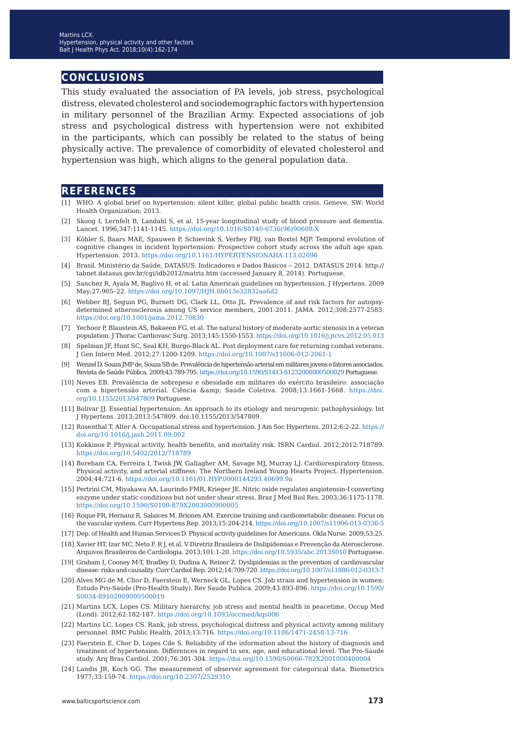#### **conclusions**

This study evaluated the association of PA levels, job stress, psychological distress, elevated cholesterol and sociodemographic factors with hypertension in military personnel of the Brazilian Army. Expected associations of job stress and psychological distress with hypertension were not exhibited in the participants, which can possibly be related to the status of being physically active. The prevalence of comorbidity of elevated cholesterol and hypertension was high, which aligns to the general population data.

#### **references**

- [1] WHO. A global brief on hypertension: silent killer, global public health crisis. Geneve, SW: World Health Organization; 2013.
- [2] Skoog I, Lernfelt B, Landahl S, et al. 15-year longitudinal study of blood pressure and dementia. Lancet. 1996;347:1141-1145. [https://doi.org/10.1016/S0140-6736\(96\)90608-X](https://doi.org/10.1016/S0140-6736(96)90608-X)
- [3] Köhler S, Baars MAE, Spauwen P, Schievink S, Verhey FRJ, van Boxtel MJP. Temporal evolution of cognitive changes in incident hypertension: Prospective cohort study across the adult age span. Hypertension. 2013.<https://doi.org/10.1161/HYPERTENSIONAHA.113.02096>
- [4] Brasil. Ministério da Saúde, DATASUS. Indicadores e Dados Básicos ‒ 2012. DATASUS 2014. http:// tabnet.datasus.gov.br/cgi/idb2012/matriz.htm (accessed January 8, 2014). Portuguese.
- [5] Sanchez R, Ayala M, Baglivo H, et al. Latin American guidelines on hypertension. J Hypertens. 2009 May;27:905–22. <https://doi.org/10.1097/HJH.0b013e32832aa6d2>
- [6] Webber BJ, Seguin PG, Burnett DG, Clark LL, Otto JL. Prevalence of and risk factors for autopsydetermined atherosclerosis among US service members, 2001-2011. JAMA. 2012;308:2577-2583. <https://doi.org/10.1001/jama.2012.70830>
- [7] Yechoor P, Blaustein AS, Bakaeen FG, et al. The natural history of moderate aortic stenosis in a veteran population. J Thorac Cardiovasc Surg. 2013;145:1550-1553.<https://doi.org/10.1016/j.jtcvs.2012.05.013>
- [8] Spelman JF, Hunt SC, Seal KH, Burgo-Black AL. Post deployment care for returning combat veterans. J Gen Intern Med. 2012;27:1200-1209.<https://doi.org/10.1007/s11606-012-2061-1>
- [9] Wenzel D, Souza JMP de, Souza SB de. Prevalência de hipertensão arterial em militares jovens e fatores associados. Revista de Saúde Pública. 2009;43:789-795.<https://doi.org/10.1590/S1413-81232008000500029> Portuguese.
- [10] Neves EB. Prevalência de sobrepeso e obesidade em militares do exército brasileiro: associação com a hipertensão arterial. Ciência & amp; Saúde Coletiva. 2008;13:1661-1668. [https://doi.](https://doi.org/10.1155/2013/547809) [org/10.1155/2013/547809](https://doi.org/10.1155/2013/547809) Portuguese.
- [11] Bolívar JJ. Essential hypertension: An approach to its etiology and neurogenic pathophysiology. Int J Hypertens. 2013;2013:547809. doi:10.1155/2013/547809.
- [12] Rosenthal T, Alter A. Occupational stress and hypertension. J Am Soc Hypertens. 2012;6:2-22. [https://](https://doi.org/10.1016/j.jash.2011.09.002) [doi.org/10.1016/j.jash.2011.09.002](https://doi.org/10.1016/j.jash.2011.09.002)
- [13] Kokkinos P. Physical activity, health benefits, and mortality risk. ISRN Cardiol. 2012;2012:718789. <https://doi.org/10.5402/2012/718789>
- [14] Boreham CA, Ferreira I, Twisk JW, Gallagher AM, Savage MJ, Murray LJ. Cardiorespiratory fitness, Physical activity, and arterial stiffness: The Northern Ireland Young Hearts Project. Hypertension. 2004;44:721-6. <https://doi.org/10.1161/01.HYP.0000144293.40699.9a>
- [15] Pertrini CM, Miyakawa AA, Laurindo FMR, Krieger JE. Nitric oxide regulates angiotensin-I converting enzyme under static conditions but not under shear stress. Braz J Med Biol Res. 2003;36:1175-1178. <https://doi.org/10.1590/S0100-879X2003000900005>
- [16] Roque FR, Hernanz R, Salaices M, Briones AM. Exercise training and cardiometabolic diseases: Focus on the vascular system. Curr Hypertens Rep. 2013;15:204-214.<https://doi.org/10.1007/s11906-013-0336-5>
- [17] Dep. of Health and Human Services D. Physical activity guidelines for Americans. Okla Nurse. 2009;53:25.
- [18] Xavier HT, Izar MC, Neto F, R J, et al. V Diretriz Brasileira de Dislipidemias e Prevenção da Aterosclerose. Arquivos Brasileiros de Cardiologia. 2013;101:1-20.<https://doi.org/10.5935/abc.2013S010> Portuguese.
- [19] Graham I, Cooney M-T, Bradley D, Dudina A, Reiner Z. Dyslipidemias in the prevention of cardiovascular disease: risks and causality. Curr Cardiol Rep. 2012;14:709-720. <https://doi.org/10.1007/s11886-012-0313-7>
- [20] Alves MG de M, Chor D, Faerstein E, Werneck GL, Lopes CS. Job strain and hypertension in women: Estudo Pro-Saúde (Pro-Health Study). Rev Saude Publica. 2009;43:893-896. [https://doi.org/10.1590/](https://doi.org/10.1590/S0034-89102009000500019) [S0034-89102009000500019](https://doi.org/10.1590/S0034-89102009000500019)
- [21] Martins LCX, Lopes CS. Military hierarchy, job stress and mental health in peacetime. Occup Med (Lond). 2012;62:182-187.<https://doi.org/10.1093/occmed/kqs006>
- [22] Martins LC, Lopes CS. Rank, job stress, psychological distress and physical activity among military personnel. BMC Public Health. 2013;13:716.<https://doi.org/10.1186/1471-2458-13-716>
- [23] Faerstein E, Chor D, Lopes Cde S. Reliability of the information about the history of diagnosis and treatment of hypertension. Differences in regard to sex, age, and educational level. The Pro-Saude study. Arq Bras Cardiol. 2001;76:301-304.<https://doi.org/10.1590/S0066-782X2001000400004>
- [24] Landis JR, Koch GG. The measurement of observer agreement for categorical data. Biometrics 1977;33:159-74.<https://doi.org/10.2307/2529310>